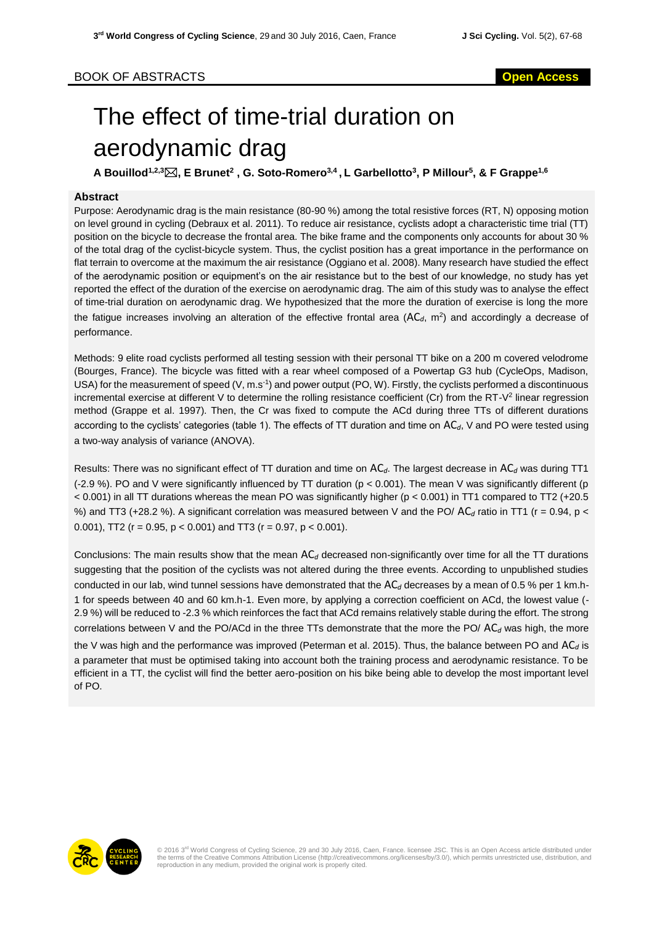# BOOK OF ABSTRACTS **Open Access**

# The effect of time-trial duration on aerodynamic drag

**A Bouillod1,2,3, E Brunet<sup>2</sup> , G. Soto-Romero3,4 , L Garbellotto<sup>3</sup> , P Millour<sup>5</sup> , & F Grappe1,6**

## **Abstract**

Purpose: Aerodynamic drag is the main resistance (80-90 %) among the total resistive forces (RT, N) opposing motion on level ground in cycling (Debraux et al. 2011). To reduce air resistance, cyclists adopt a characteristic time trial (TT) position on the bicycle to decrease the frontal area. The bike frame and the components only accounts for about 30 % of the total drag of the cyclist-bicycle system. Thus, the cyclist position has a great importance in the performance on flat terrain to overcome at the maximum the air resistance (Oggiano et al. 2008). Many research have studied the effect of the aerodynamic position or equipment's on the air resistance but to the best of our knowledge, no study has yet reported the effect of the duration of the exercise on aerodynamic drag. The aim of this study was to analyse the effect of time-trial duration on aerodynamic drag. We hypothesized that the more the duration of exercise is long the more the fatigue increases involving an alteration of the effective frontal area  $(AC_d, m^2)$  and accordingly a decrease of performance.

Methods: 9 elite road cyclists performed all testing session with their personal TT bike on a 200 m covered velodrome (Bourges, France). The bicycle was fitted with a rear wheel composed of a Powertap G3 hub (CycleOps, Madison, USA) for the measurement of speed (V, m.s<sup>-1</sup>) and power output (PO, W). Firstly, the cyclists performed a discontinuous incremental exercise at different V to determine the rolling resistance coefficient (Cr) from the RT-V<sup>2</sup> linear regression method (Grappe et al. 1997). Then, the Cr was fixed to compute the ACd during three TTs of different durations according to the cyclists' categories (table 1). The effects of TT duration and time on AC*d*, V and PO were tested using a two-way analysis of variance (ANOVA).

Results: There was no significant effect of TT duration and time on AC*d*. The largest decrease in AC*<sup>d</sup>* was during TT1 (-2.9 %). PO and V were significantly influenced by TT duration (p < 0.001). The mean V was significantly different (p < 0.001) in all TT durations whereas the mean PO was significantly higher (p < 0.001) in TT1 compared to TT2 (+20.5 %) and TT3 (+28.2 %). A significant correlation was measured between V and the PO/  $AC<sub>d</sub>$  ratio in TT1 ( $r = 0.94$ ,  $p <$ 0.001), TT2 ( $r = 0.95$ ,  $p < 0.001$ ) and TT3 ( $r = 0.97$ ,  $p < 0.001$ ).

Conclusions: The main results show that the mean AC*<sup>d</sup>* decreased non-significantly over time for all the TT durations suggesting that the position of the cyclists was not altered during the three events. According to unpublished studies conducted in our lab, wind tunnel sessions have demonstrated that the AC<sub>d</sub> decreases by a mean of 0.5 % per 1 km.h-1 for speeds between 40 and 60 km.h-1. Even more, by applying a correction coefficient on ACd, the lowest value (- 2.9 %) will be reduced to -2.3 % which reinforces the fact that ACd remains relatively stable during the effort. The strong correlations between V and the PO/ACd in the three TTs demonstrate that the more the PO/ $AC_d$  was high, the more

the V was high and the performance was improved (Peterman et al. 2015). Thus, the balance between PO and AC*<sup>d</sup>* is a parameter that must be optimised taking into account both the training process and aerodynamic resistance. To be efficient in a TT, the cyclist will find the better aero-position on his bike being able to develop the most important level of PO.